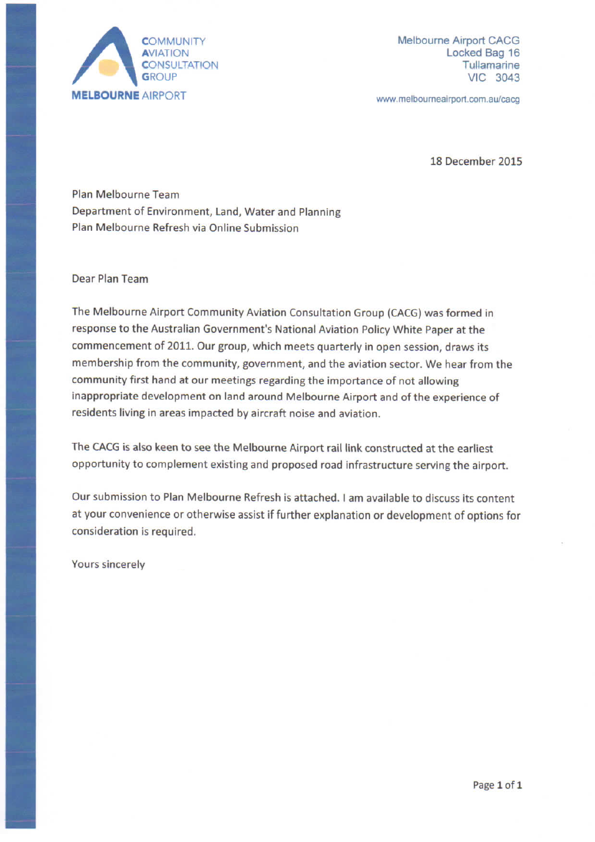

Melbourne Airport CACG Locked Bag 16 Tullamarine **VIC 3043** 

www.melbourneairport.com.au/cacg

18 December 2015

Plan Melbourne Team Department of Environment, Land, Water and Planning Plan Melbourne Refresh via Online Submission

Dear Plan Team

The Melbourne Airport Community Aviation Consultation Group (CACG) was formed in response to the Australian Government's National Aviation Policy White Paper at the commencement of 2011. Our group, which meets quarterly in open session, draws its membership from the community, government, and the aviation sector. We hear from the community first hand at our meetings regarding the importance of not allowing inappropriate development on land around Melbourne Airport and of the experience of residents living in areas impacted by aircraft noise and aviation.

The CACG is also keen to see the Melbourne Airport rail link constructed at the earliest opportunity to complement existing and proposed road infrastructure serving the airport.

Our submission to Plan Melbourne Refresh is attached. I am available to discuss its content at your convenience or otherwise assist if further explanation or development of options for consideration is required.

Yours sincerely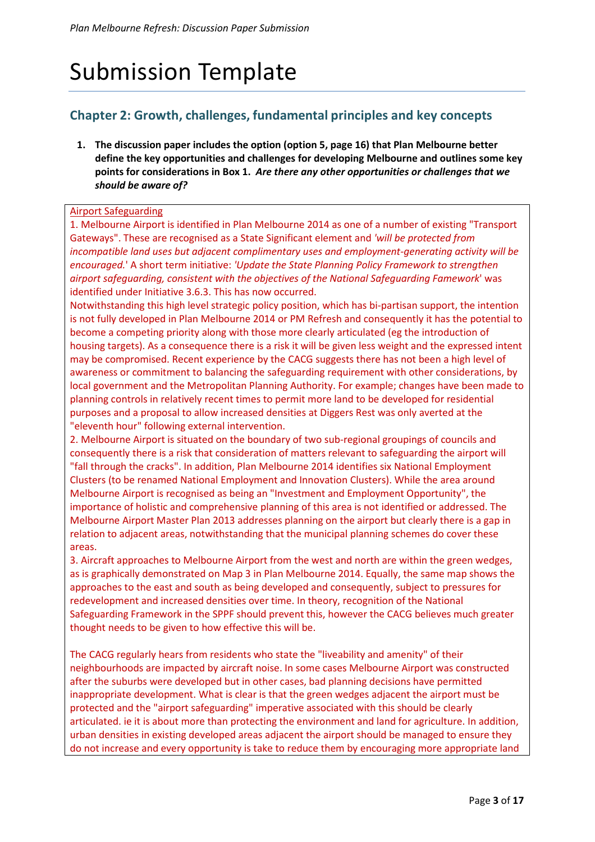# Submission Template

## **Chapter 2: Growth, challenges, fundamental principles and key concepts**

**1. The discussion paper includes the option (option 5, page 16) that Plan Melbourne better define the key opportunities and challenges for developing Melbourne and outlines some key points for considerations in Box 1.** *Are there any other opportunities or challenges that we should be aware of?*

#### Airport Safeguarding

1. Melbourne Airport is identified in Plan Melbourne 2014 as one of a number of existing "Transport Gateways". These are recognised as a State Significant element and *'will be protected from incompatible land uses but adjacent complimentary uses and employment-generating activity will be encouraged.*' A short term initiative: *'Update the State Planning Policy Framework to strengthen airport safeguarding, consistent with the objectives of the National Safeguarding Famework*' was identified under Initiative 3.6.3. This has now occurred.

Notwithstanding this high level strategic policy position, which has bi-partisan support, the intention is not fully developed in Plan Melbourne 2014 or PM Refresh and consequently it has the potential to become a competing priority along with those more clearly articulated (eg the introduction of housing targets). As a consequence there is a risk it will be given less weight and the expressed intent may be compromised. Recent experience by the CACG suggests there has not been a high level of awareness or commitment to balancing the safeguarding requirement with other considerations, by local government and the Metropolitan Planning Authority. For example; changes have been made to planning controls in relatively recent times to permit more land to be developed for residential purposes and a proposal to allow increased densities at Diggers Rest was only averted at the "eleventh hour" following external intervention.

2. Melbourne Airport is situated on the boundary of two sub-regional groupings of councils and consequently there is a risk that consideration of matters relevant to safeguarding the airport will "fall through the cracks". In addition, Plan Melbourne 2014 identifies six National Employment Clusters (to be renamed National Employment and Innovation Clusters). While the area around Melbourne Airport is recognised as being an "Investment and Employment Opportunity", the importance of holistic and comprehensive planning of this area is not identified or addressed. The Melbourne Airport Master Plan 2013 addresses planning on the airport but clearly there is a gap in relation to adjacent areas, notwithstanding that the municipal planning schemes do cover these areas.

3. Aircraft approaches to Melbourne Airport from the west and north are within the green wedges, as is graphically demonstrated on Map 3 in Plan Melbourne 2014. Equally, the same map shows the approaches to the east and south as being developed and consequently, subject to pressures for redevelopment and increased densities over time. In theory, recognition of the National Safeguarding Framework in the SPPF should prevent this, however the CACG believes much greater thought needs to be given to how effective this will be.

The CACG regularly hears from residents who state the "liveability and amenity" of their neighbourhoods are impacted by aircraft noise. In some cases Melbourne Airport was constructed after the suburbs were developed but in other cases, bad planning decisions have permitted inappropriate development. What is clear is that the green wedges adjacent the airport must be protected and the "airport safeguarding" imperative associated with this should be clearly articulated. ie it is about more than protecting the environment and land for agriculture. In addition, urban densities in existing developed areas adjacent the airport should be managed to ensure they do not increase and every opportunity is take to reduce them by encouraging more appropriate land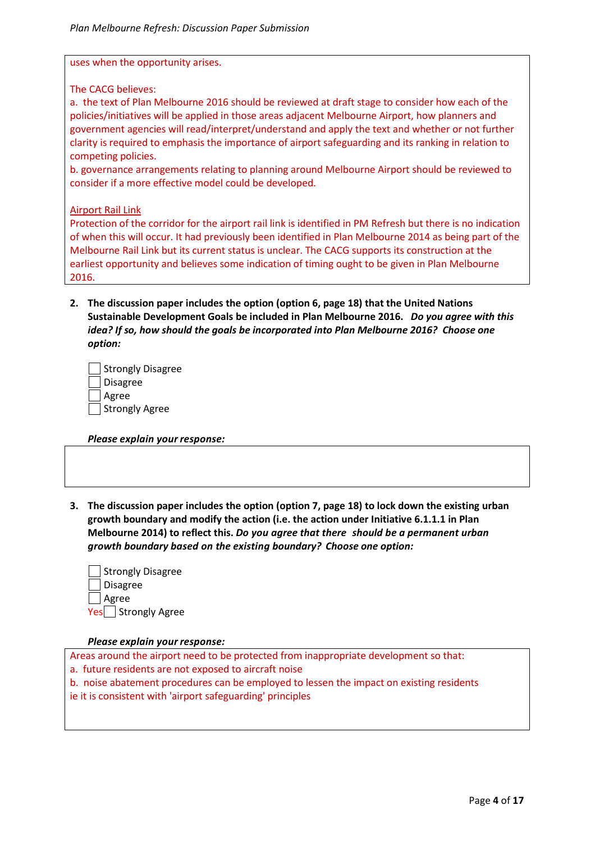uses when the opportunity arises.

The CACG believes:

a. the text of Plan Melbourne 2016 should be reviewed at draft stage to consider how each of the policies/initiatives will be applied in those areas adjacent Melbourne Airport, how planners and government agencies will read/interpret/understand and apply the text and whether or not further clarity is required to emphasis the importance of airport safeguarding and its ranking in relation to competing policies.

b. governance arrangements relating to planning around Melbourne Airport should be reviewed to consider if a more effective model could be developed.

#### Airport Rail Link

Protection of the corridor for the airport rail link is identified in PM Refresh but there is no indication of when this will occur. It had previously been identified in Plan Melbourne 2014 as being part of the Melbourne Rail Link but its current status is unclear. The CACG supports its construction at the earliest opportunity and believes some indication of timing ought to be given in Plan Melbourne 2016.

**2. The discussion paper includes the option (option 6, page 18) that the United Nations Sustainable Development Goals be included in Plan Melbourne 2016.** *Do you agree with this idea? If so, how should the goals be incorporated into Plan Melbourne 2016? Choose one option:*

| Strongly Disagree |
|-------------------|
| Disagree          |
| Agree             |
| Strongly Agree    |

*Please explain your response:* 

**3. The discussion paper includes the option (option 7, page 18) to lock down the existing urban growth boundary and modify the action (i.e. the action under Initiative 6.1.1.1 in Plan Melbourne 2014) to reflect this.** *Do you agree that there should be a permanent urban growth boundary based on the existing boundary? Choose one option:*

| Strongly Disagree    |
|----------------------|
| <b>∣Disagree</b>     |
| Agree                |
| Yes   Strongly Agree |

#### *Please explain your response:*

Areas around the airport need to be protected from inappropriate development so that:

a. future residents are not exposed to aircraft noise

b. noise abatement procedures can be employed to lessen the impact on existing residents

ie it is consistent with 'airport safeguarding' principles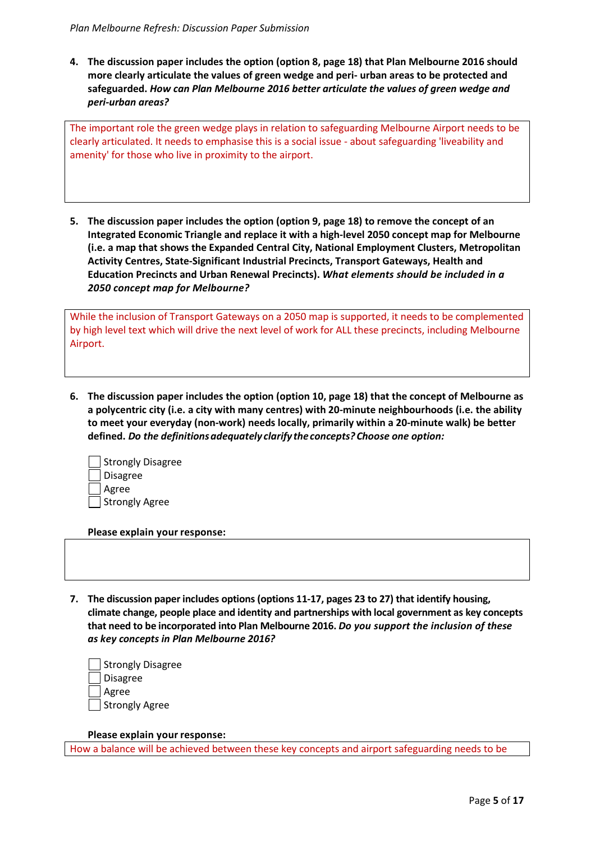**4. The discussion paper includes the option (option 8, page 18) that Plan Melbourne 2016 should more clearly articulate the values of green wedge and peri- urban areas to be protected and safeguarded.** *How can Plan Melbourne 2016 better articulate the values of green wedge and peri-urban areas?*

The important role the green wedge plays in relation to safeguarding Melbourne Airport needs to be clearly articulated. It needs to emphasise this is a social issue - about safeguarding 'liveability and amenity' for those who live in proximity to the airport.

**5. The discussion paper includes the option (option 9, page 18) to remove the concept of an Integrated Economic Triangle and replace it with a high-level 2050 concept map for Melbourne (i.e. a map that shows the Expanded Central City, National Employment Clusters, Metropolitan Activity Centres, State-Significant Industrial Precincts, Transport Gateways, Health and Education Precincts and Urban Renewal Precincts).** *What elements should be included in a 2050 concept map for Melbourne?*

While the inclusion of Transport Gateways on a 2050 map is supported, it needs to be complemented by high level text which will drive the next level of work for ALL these precincts, including Melbourne Airport.

**6. The discussion paper includes the option (option 10, page 18) that the concept of Melbourne as a polycentric city (i.e. a city with many centres) with 20-minute neighbourhoods (i.e. the ability to meet your everyday (non-work) needs locally, primarily within a 20-minute walk) be better defined.** *Do the definitions adequately clarify the concepts? Choose one option:*

| Strongly Disagree |
|-------------------|
| Disagree          |
| Agree             |
| Strongly Agree    |

**Please explain your response:** 

**7. The discussion paper includes options (options 11-17, pages 23 to 27) that identify housing, climate change, people place and identity and partnerships with local government as key concepts that need to be incorporated into Plan Melbourne 2016.** *Do you support the inclusion of these as key concepts in Plan Melbourne 2016?* 

| Strongly Disagree |
|-------------------|
| Disagree          |
| Agree             |
| Strongly Agree    |

**Please explain your response:** 

How a balance will be achieved between these key concepts and airport safeguarding needs to be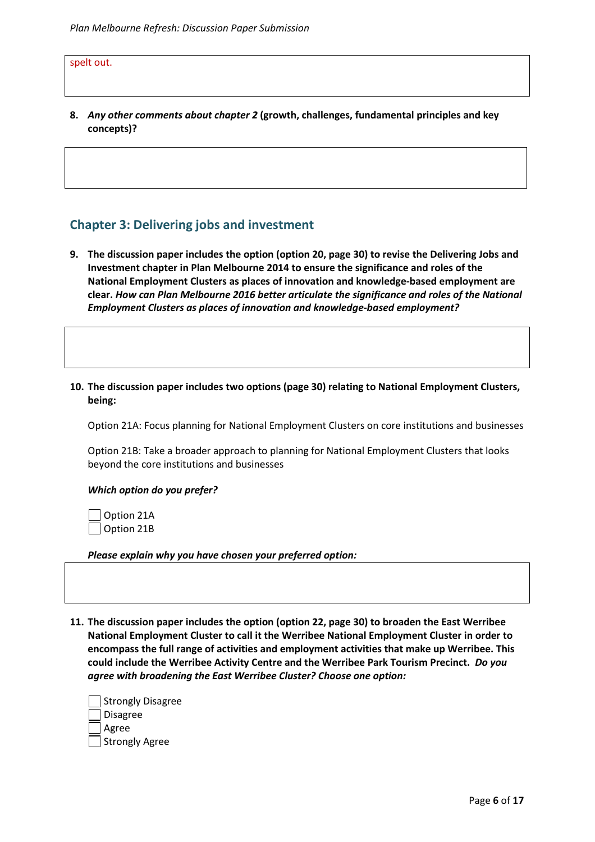spelt out.

**8.** *Any other comments about chapter 2* **(growth, challenges, fundamental principles and key concepts)?** 

### **Chapter 3: Delivering jobs and investment**

**9. The discussion paper includes the option (option 20, page 30) to revise the Delivering Jobs and Investment chapter in Plan Melbourne 2014 to ensure the significance and roles of the National Employment Clusters as places of innovation and knowledge-based employment are clear.** *How can Plan Melbourne 2016 better articulate the significance and roles of the National Employment Clusters as places of innovation and knowledge-based employment?*

#### **10. The discussion paper includes two options (page 30) relating to National Employment Clusters, being:**

Option 21A: Focus planning for National Employment Clusters on core institutions and businesses

Option 21B: Take a broader approach to planning for National Employment Clusters that looks beyond the core institutions and businesses

#### *Which option do you prefer?*

 Option 21A Option 21B

*Please explain why you have chosen your preferred option:* 

**11. The discussion paper includes the option (option 22, page 30) to broaden the East Werribee National Employment Cluster to call it the Werribee National Employment Cluster in order to encompass the full range of activities and employment activities that make up Werribee. This could include the Werribee Activity Centre and the Werribee Park Tourism Precinct.** *Do you agree with broadening the East Werribee Cluster? Choose one option:*

| Strongly Disagree |
|-------------------|
| Disagree          |
| Agree             |
| Strongly Agree    |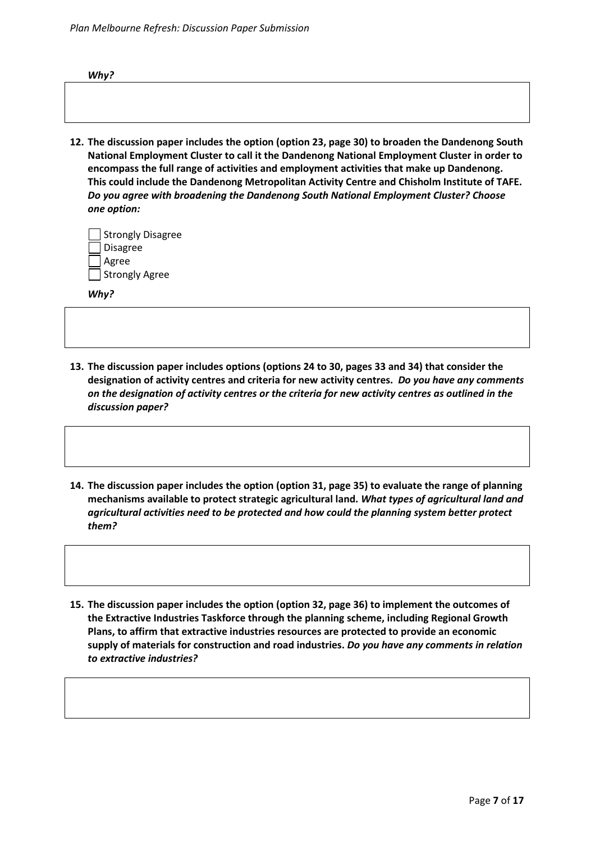| Why? |  |  |  |  |
|------|--|--|--|--|
|      |  |  |  |  |
|      |  |  |  |  |
|      |  |  |  |  |
|      |  |  |  |  |

**12. The discussion paper includes the option (option 23, page 30) to broaden the Dandenong South National Employment Cluster to call it the Dandenong National Employment Cluster in order to encompass the full range of activities and employment activities that make up Dandenong. This could include the Dandenong Metropolitan Activity Centre and Chisholm Institute of TAFE.**  *Do you agree with broadening the Dandenong South National Employment Cluster? Choose one option:*

| Strongly Disagree |
|-------------------|
| Disagree          |
| Agree             |
| Strongly Agree    |

*Why?* 

- **13. The discussion paper includes options (options 24 to 30, pages 33 and 34) that consider the designation of activity centres and criteria for new activity centres.** *Do you have any comments on the designation of activity centres or the criteria for new activity centres as outlined in the discussion paper?*
- **14. The discussion paper includes the option (option 31, page 35) to evaluate the range of planning mechanisms available to protect strategic agricultural land.** *What types of agricultural land and agricultural activities need to be protected and how could the planning system better protect them?*
- **15. The discussion paper includes the option (option 32, page 36) to implement the outcomes of the Extractive Industries Taskforce through the planning scheme, including Regional Growth Plans, to affirm that extractive industries resources are protected to provide an economic supply of materials for construction and road industries.** *Do you have any comments in relation to extractive industries?*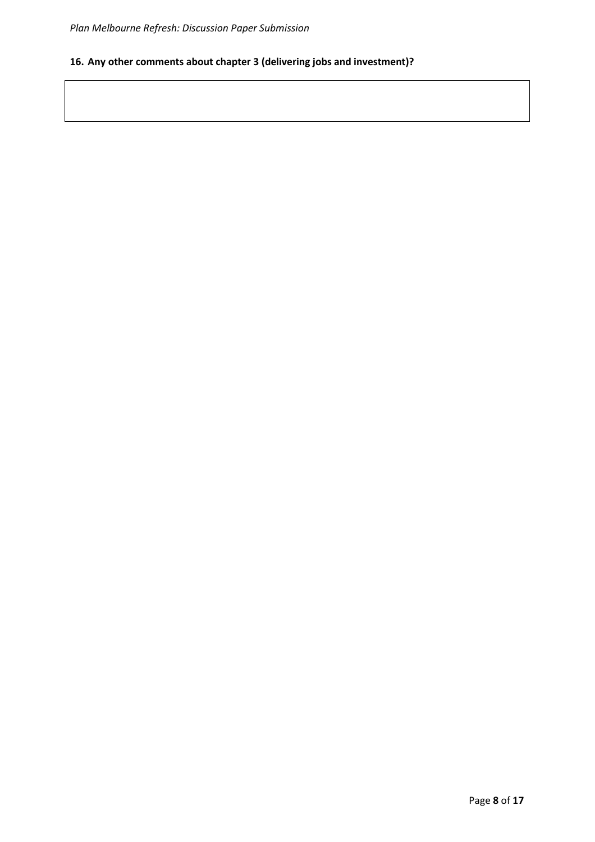## **16. Any other comments about chapter 3 (delivering jobs and investment)?**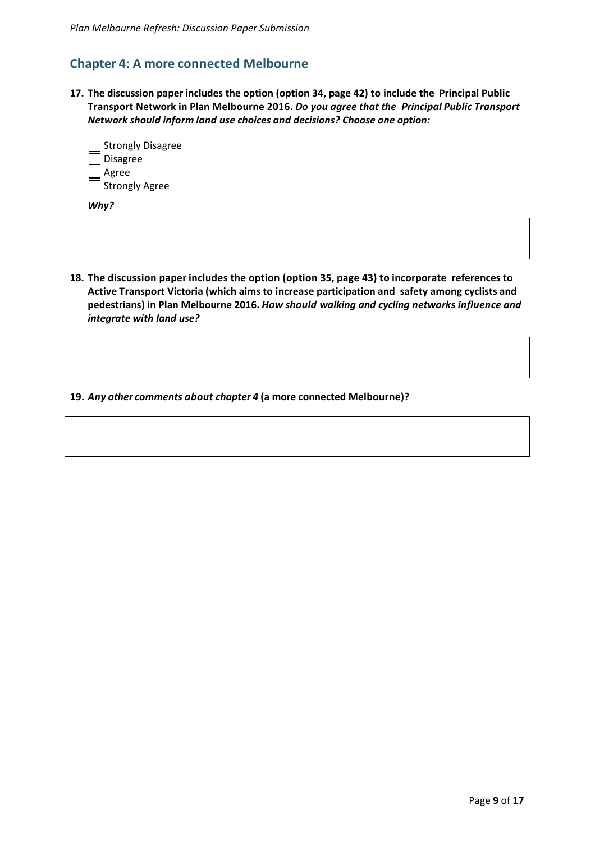## **Chapter 4: A more connected Melbourne**

**17. The discussion paper includes the option (option 34, page 42) to include the Principal Public Transport Network in Plan Melbourne 2016.** *Do you agree that the Principal Public Transport Network should inform land use choices and decisions? Choose one option:*

| Strongly Disagree |
|-------------------|
| <b>Disagree</b>   |
| Agree             |
| Strongly Agree    |

*Why?* 

**18. The discussion paper includes the option (option 35, page 43) to incorporate references to Active Transport Victoria (which aims to increase participation and safety among cyclists and pedestrians) in Plan Melbourne 2016.** *How should walking and cycling networks influence and integrate with land use?* 

**19.** *Any other comments about chapter 4* **(a more connected Melbourne)?**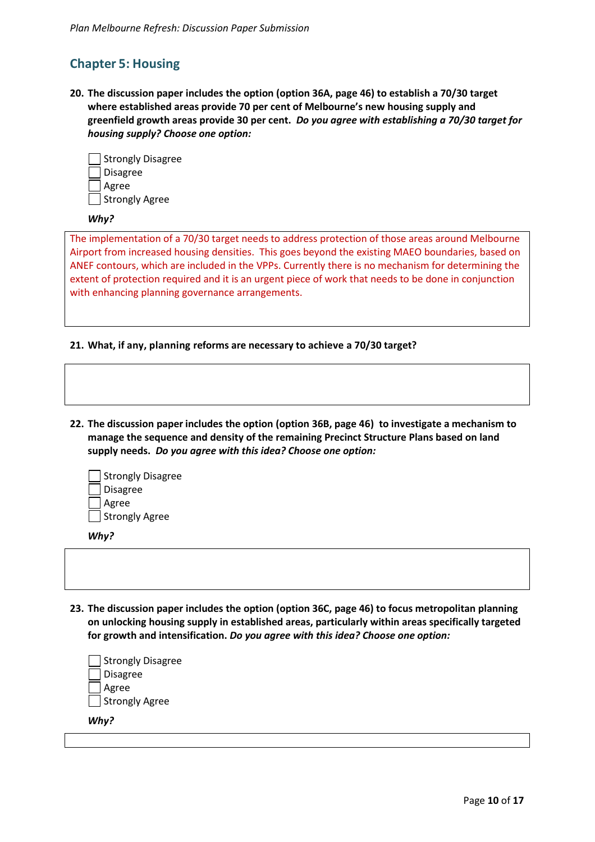# **Chapter 5: Housing**

**20. The discussion paper includes the option (option 36A, page 46) to establish a 70/30 target where established areas provide 70 per cent of Melbourne's new housing supply and greenfield growth areas provide 30 per cent.** *Do you agree with establishing a 70/30 target for housing supply? Choose one option:*



#### *Why?*

The implementation of a 70/30 target needs to address protection of those areas around Melbourne Airport from increased housing densities. This goes beyond the existing MAEO boundaries, based on ANEF contours, which are included in the VPPs. Currently there is no mechanism for determining the extent of protection required and it is an urgent piece of work that needs to be done in conjunction with enhancing planning governance arrangements.

#### **21. What, if any, planning reforms are necessary to achieve a 70/30 target?**

**22. The discussion paper includes the option (option 36B, page 46) to investigate a mechanism to manage the sequence and density of the remaining Precinct Structure Plans based on land supply needs.** *Do you agree with this idea? Choose one option:*

| Strongly Disagree |
|-------------------|
| Disagree          |
| Agree             |
| Strongly Agree    |

*Why?* 

**23. The discussion paper includes the option (option 36C, page 46) to focus metropolitan planning on unlocking housing supply in established areas, particularly within areas specifically targeted for growth and intensification.** *Do you agree with this idea? Choose one option:*

| <b>Strongly Disagree</b> |  |  |
|--------------------------|--|--|
| <b>Disagree</b>          |  |  |
| Agree                    |  |  |
| Strongly Agree           |  |  |
| Why?                     |  |  |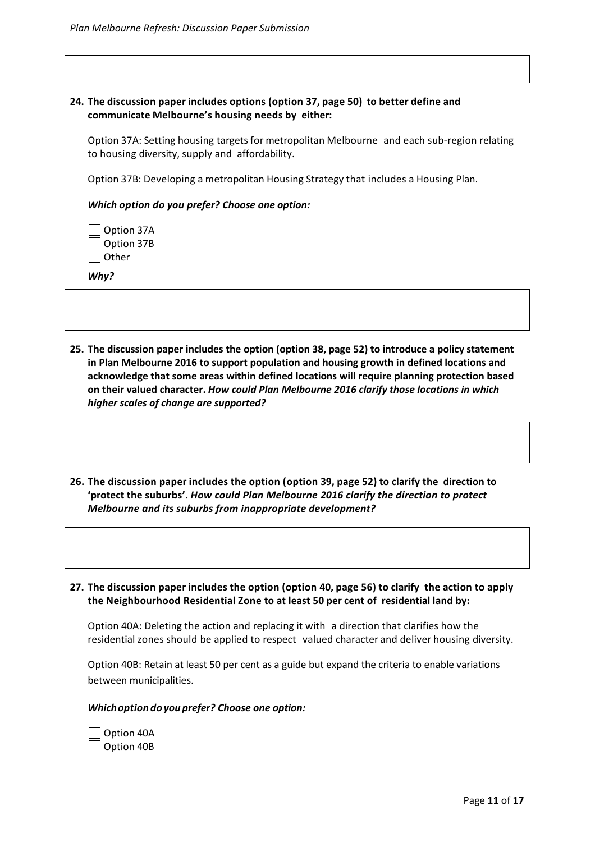#### **24. The discussion paper includes options (option 37, page 50) to better define and communicate Melbourne's housing needs by either:**

Option 37A: Setting housing targets for metropolitan Melbourne and each sub-region relating to housing diversity, supply and affordability.

Option 37B: Developing a metropolitan Housing Strategy that includes a Housing Plan.

#### *Which option do you prefer? Choose one option:*

| Option 37A |
|------------|
| Option 37B |
| Other      |

*Why?* 

- **25. The discussion paper includes the option (option 38, page 52) to introduce a policy statement in Plan Melbourne 2016 to support population and housing growth in defined locations and acknowledge that some areas within defined locations will require planning protection based on their valued character.** *How could Plan Melbourne 2016 clarify those locations in which higher scales of change are supported?*
- **26. The discussion paper includes the option (option 39, page 52) to clarify the direction to 'protect the suburbs'.** *How could Plan Melbourne 2016 clarify the direction to protect Melbourne and its suburbs from inappropriate development?*
- **27. The discussion paper includes the option (option 40, page 56) to clarify the action to apply the Neighbourhood Residential Zone to at least 50 per cent of residential land by:**

Option 40A: Deleting the action and replacing it with a direction that clarifies how the residential zones should be applied to respect valued character and deliver housing diversity.

Option 40B: Retain at least 50 per cent as a guide but expand the criteria to enable variations between municipalities.

#### *Which option do you prefer? Choose one option:*

 Option 40A Option 40B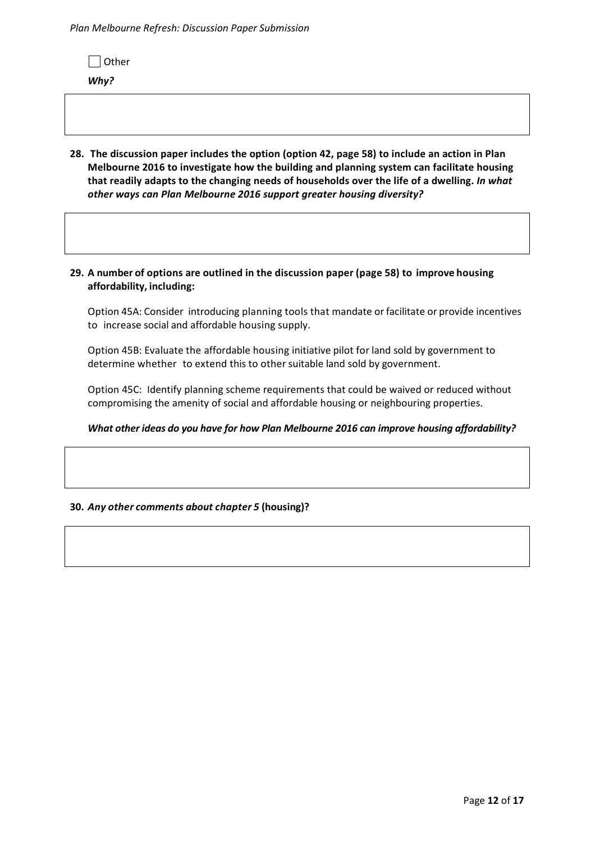*Plan Melbourne Refresh: Discussion Paper Submission*

 $\Box$  Other

*Why?* 

**28. The discussion paper includes the option (option 42, page 58) to include an action in Plan Melbourne 2016 to investigate how the building and planning system can facilitate housing that readily adapts to the changing needs of households over the life of a dwelling.** *In what other ways can Plan Melbourne 2016 support greater housing diversity?* 

#### **29. A number of options are outlined in the discussion paper (page 58) to improve housing affordability, including:**

Option 45A: Consider introducing planning tools that mandate or facilitate or provide incentives to increase social and affordable housing supply.

Option 45B: Evaluate the affordable housing initiative pilot for land sold by government to determine whether to extend this to other suitable land sold by government.

Option 45C: Identify planning scheme requirements that could be waived or reduced without compromising the amenity of social and affordable housing or neighbouring properties.

#### *What other ideas do you have for how Plan Melbourne 2016 can improve housing affordability?*

#### **30.** *Any other comments about chapter 5* **(housing)?**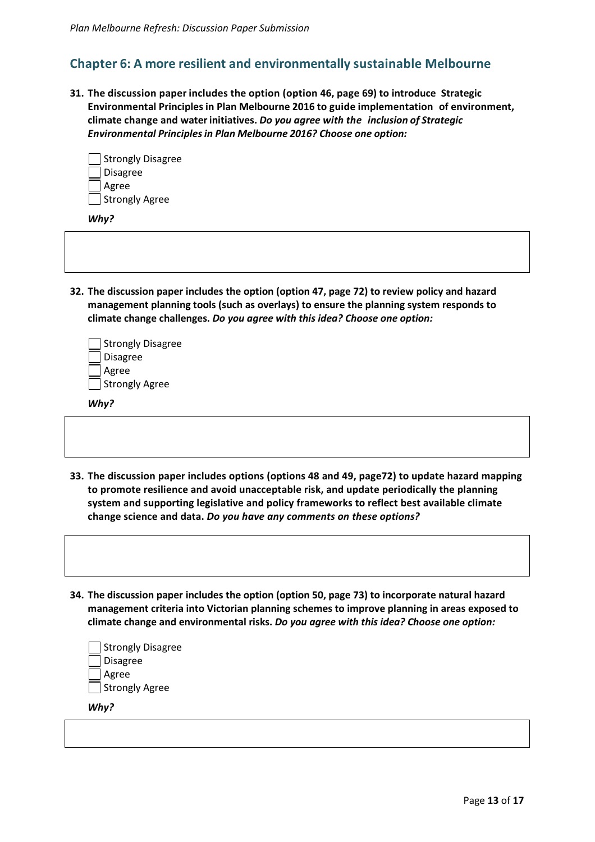## **Chapter 6: A more resilient and environmentally sustainable Melbourne**

**31. The discussion paper includes the option (option 46, page 69) to introduce Strategic Environmental Principles in Plan Melbourne 2016 to guide implementation of environment, climate change and water initiatives.** *Do you agree with the inclusion of Strategic Environmental Principles in Plan Melbourne 2016? Choose one option:*

| Strongly Disagree |
|-------------------|
| <b>Disagree</b>   |
| Agree             |
| Strongly Agree    |

*Why?* 

**32. The discussion paper includes the option (option 47, page 72) to review policy and hazard management planning tools (such as overlays) to ensure the planning system responds to climate change challenges.** *Do you agree with this idea? Choose one option:*

| Strongly Disagree |
|-------------------|
| Disagree          |
| Agree             |
| Strongly Agree    |

*Why?* 

- **33. The discussion paper includes options (options 48 and 49, page72) to update hazard mapping to promote resilience and avoid unacceptable risk, and update periodically the planning system and supporting legislative and policy frameworks to reflect best available climate change science and data.** *Do you have any comments on these options?*
- **34. The discussion paper includes the option (option 50, page 73) to incorporate natural hazard management criteria into Victorian planning schemes to improve planning in areas exposed to climate change and environmental risks.** *Do you agree with this idea? Choose one option:*

| Strongly Disagree |
|-------------------|
| Disagree          |
| Agree             |
| Strongly Agree    |
|                   |

*Why?*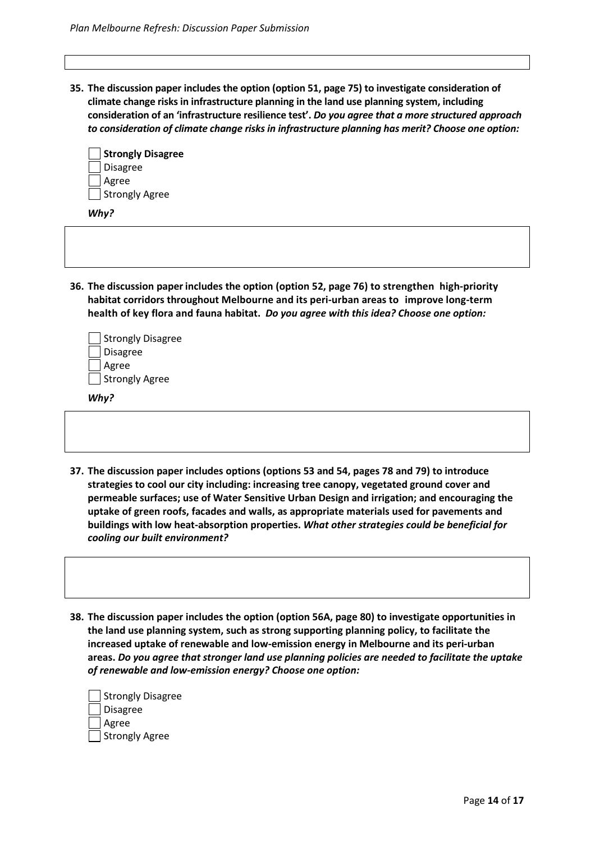**35. The discussion paper includes the option (option 51, page 75) to investigate consideration of climate change risks in infrastructure planning in the land use planning system, including consideration of an 'infrastructure resilience test'.** *Do you agree that a more structured approach to consideration of climate change risks in infrastructure planning has merit? Choose one option:*

| Strongly Disagree |
|-------------------|
| <b>Disagree</b>   |
| Agree             |
| Strongly Agree    |

*Why?* 

**36. The discussion paper includes the option (option 52, page 76) to strengthen high-priority habitat corridors throughout Melbourne and its peri-urban areas to improve long-term health of key flora and fauna habitat.** *Do you agree with this idea? Choose one option:*

| Strongly Disagree |
|-------------------|
| Disagree          |
| Agree             |
| Strongly Agree    |

*Why?* 

- **37. The discussion paper includes options (options 53 and 54, pages 78 and 79) to introduce strategies to cool our city including: increasing tree canopy, vegetated ground cover and permeable surfaces; use of Water Sensitive Urban Design and irrigation; and encouraging the uptake of green roofs, facades and walls, as appropriate materials used for pavements and buildings with low heat-absorption properties.** *What other strategies could be beneficial for cooling our built environment?*
- **38. The discussion paper includes the option (option 56A, page 80) to investigate opportunities in the land use planning system, such as strong supporting planning policy, to facilitate the increased uptake of renewable and low-emission energy in Melbourne and its peri-urban areas.** *Do you agree that stronger land use planning policies are needed to facilitate the uptake of renewable and low-emission energy? Choose one option:*

| Strongly Disagree |
|-------------------|
| Disagree          |
| Agree             |
| Strongly Agree    |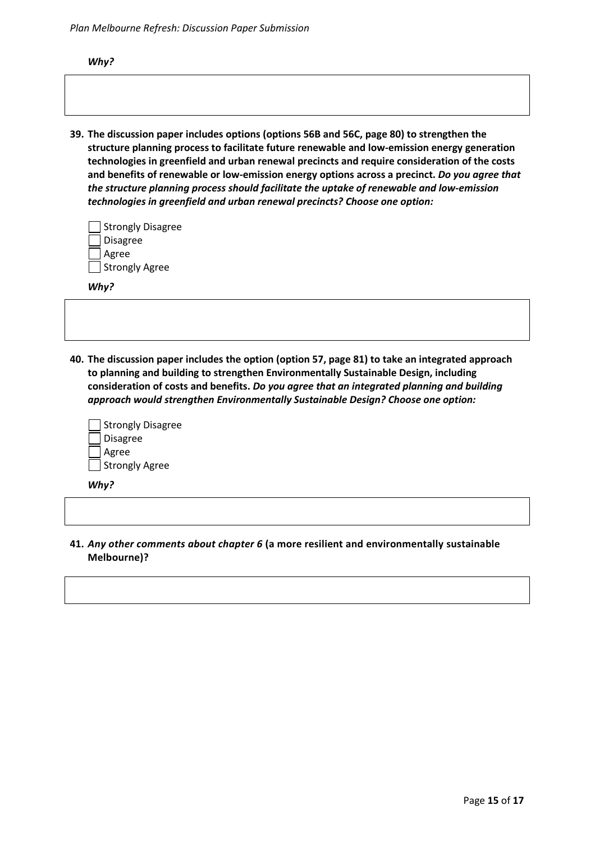*Plan Melbourne Refresh: Discussion Paper Submission*

*Why?* 

**39. The discussion paper includes options (options 56B and 56C, page 80) to strengthen the structure planning process to facilitate future renewable and low-emission energy generation technologies in greenfield and urban renewal precincts and require consideration of the costs and benefits of renewable or low-emission energy options across a precinct.** *Do you agree that the structure planning process should facilitate the uptake of renewable and low-emission technologies in greenfield and urban renewal precincts? Choose one option:*

| Strongly Disagree |
|-------------------|
| Disagree          |
| Agree             |
| Strongly Agree    |

*Why?* 

**40. The discussion paper includes the option (option 57, page 81) to take an integrated approach to planning and building to strengthen Environmentally Sustainable Design, including consideration of costs and benefits.** *Do you agree that an integrated planning and building approach would strengthen Environmentally Sustainable Design? Choose one option:*

| Strongly Disagree |
|-------------------|
| Disagree          |
| <b>Agree</b>      |
| Strongly Agree    |

*Why?* 

**41.** *Any other comments about chapter 6* **(a more resilient and environmentally sustainable Melbourne)?**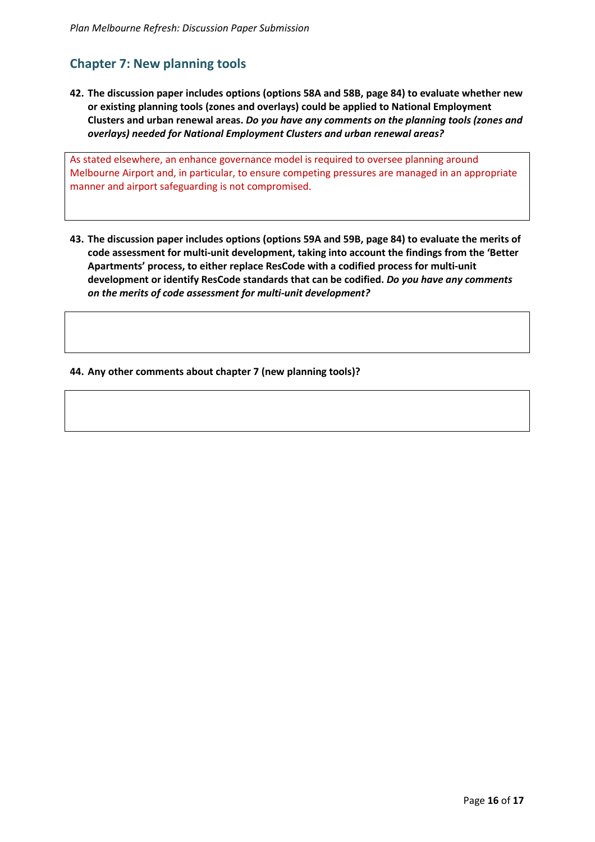# **Chapter 7: New planning tools**

**42. The discussion paper includes options (options 58A and 58B, page 84) to evaluate whether new or existing planning tools (zones and overlays) could be applied to National Employment Clusters and urban renewal areas.** *Do you have any comments on the planning tools (zones and overlays) needed for National Employment Clusters and urban renewal areas?* 

As stated elsewhere, an enhance governance model is required to oversee planning around Melbourne Airport and, in particular, to ensure competing pressures are managed in an appropriate manner and airport safeguarding is not compromised.

**43. The discussion paper includes options (options 59A and 59B, page 84) to evaluate the merits of code assessment for multi-unit development, taking into account the findings from the 'Better Apartments' process, to either replace ResCode with a codified process for multi-unit development or identify ResCode standards that can be codified.** *Do you have any comments on the merits of code assessment for multi-unit development?* 

**44. Any other comments about chapter 7 (new planning tools)?**